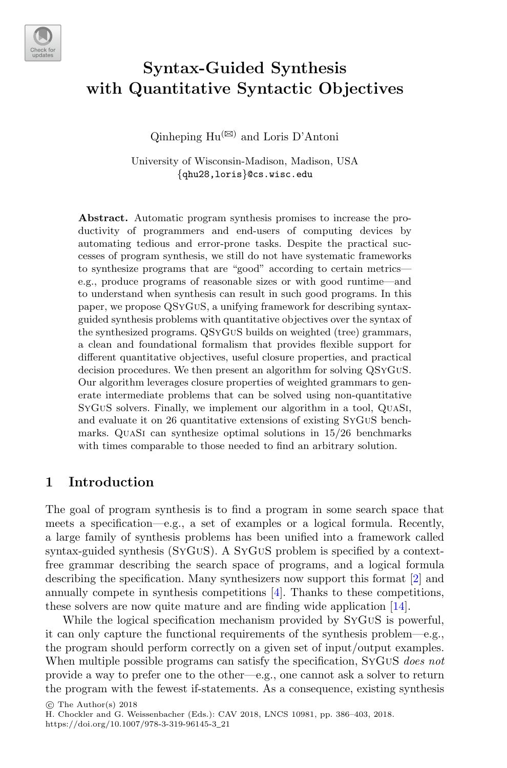

# **Syntax-Guided Synthesis with Quantitative Syntactic Objectives**

Qinheping  $Hu^{(\boxtimes)}$  and Loris D'Antoni

University of Wisconsin-Madison, Madison, USA {qhu28,loris}@cs.wisc.edu

**Abstract.** Automatic program synthesis promises to increase the productivity of programmers and end-users of computing devices by automating tedious and error-prone tasks. Despite the practical successes of program synthesis, we still do not have systematic frameworks to synthesize programs that are "good" according to certain metrics e.g., produce programs of reasonable sizes or with good runtime—and to understand when synthesis can result in such good programs. In this paper, we propose QSyGuS, a unifying framework for describing syntaxguided synthesis problems with quantitative objectives over the syntax of the synthesized programs. QSyGuS builds on weighted (tree) grammars, a clean and foundational formalism that provides flexible support for different quantitative objectives, useful closure properties, and practical decision procedures. We then present an algorithm for solving QSyGuS. Our algorithm leverages closure properties of weighted grammars to generate intermediate problems that can be solved using non-quantitative SyGuS solvers. Finally, we implement our algorithm in a tool, QuaSi, and evaluate it on 26 quantitative extensions of existing SyGuS benchmarks. QuaSi can synthesize optimal solutions in 15/26 benchmarks with times comparable to those needed to find an arbitrary solution.

## **1 Introduction**

The goal of program synthesis is to find a program in some search space that meets a specification—e.g., a set of examples or a logical formula. Recently, a large family of synthesis problems has been unified into a framework called syntax-guided synthesis (SyGuS). A SyGuS problem is specified by a contextfree grammar describing the search space of programs, and a logical formula describing the specification. Many synthesizers now support this format [\[2](#page-16-0)] and annually compete in synthesis competitions [\[4](#page-16-1)]. Thanks to these competitions, these solvers are now quite mature and are finding wide application [\[14\]](#page-16-2).

While the logical specification mechanism provided by SyGuS is powerful, it can only capture the functional requirements of the synthesis problem—e.g., the program should perform correctly on a given set of input/output examples. When multiple possible programs can satisfy the specification, SyGuS *does not* provide a way to prefer one to the other—e.g., one cannot ask a solver to return the program with the fewest if-statements. As a consequence, existing synthesis

 $\circ$  The Author(s) 2018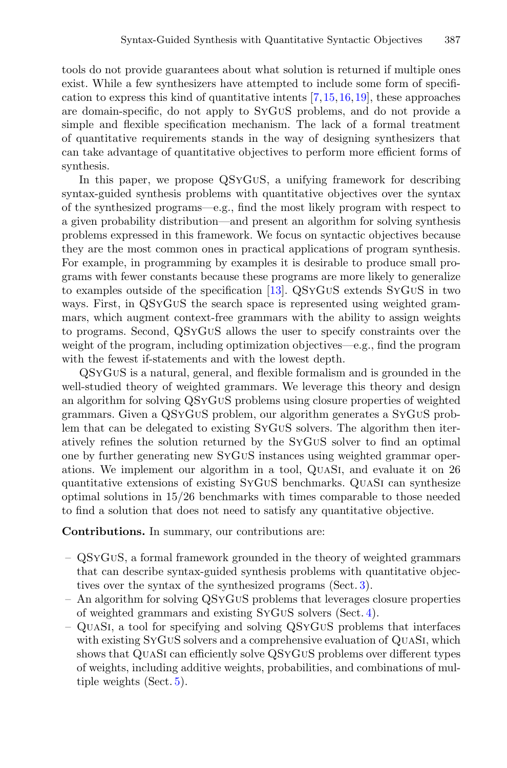tools do not provide guarantees about what solution is returned if multiple ones exist. While a few synthesizers have attempted to include some form of specification to express this kind of quantitative intents  $[7,15,16,19]$  $[7,15,16,19]$  $[7,15,16,19]$  $[7,15,16,19]$  $[7,15,16,19]$ , these approaches are domain-specific, do not apply to SyGuS problems, and do not provide a simple and flexible specification mechanism. The lack of a formal treatment of quantitative requirements stands in the way of designing synthesizers that can take advantage of quantitative objectives to perform more efficient forms of synthesis.

In this paper, we propose QSyGuS, a unifying framework for describing syntax-guided synthesis problems with quantitative objectives over the syntax of the synthesized programs—e.g., find the most likely program with respect to a given probability distribution—and present an algorithm for solving synthesis problems expressed in this framework. We focus on syntactic objectives because they are the most common ones in practical applications of program synthesis. For example, in programming by examples it is desirable to produce small programs with fewer constants because these programs are more likely to generalize to examples outside of the specification [\[13\]](#page-16-4). QSyGuS extends SyGuS in two ways. First, in QSyGuS the search space is represented using weighted grammars, which augment context-free grammars with the ability to assign weights to programs. Second, QSyGuS allows the user to specify constraints over the weight of the program, including optimization objectives—e.g., find the program with the fewest if-statements and with the lowest depth.

QSyGuS is a natural, general, and flexible formalism and is grounded in the well-studied theory of weighted grammars. We leverage this theory and design an algorithm for solving QSyGuS problems using closure properties of weighted grammars. Given a QSyGuS problem, our algorithm generates a SyGuS problem that can be delegated to existing SyGuS solvers. The algorithm then iteratively refines the solution returned by the SyGuS solver to find an optimal one by further generating new SyGuS instances using weighted grammar operations. We implement our algorithm in a tool, QuaSi, and evaluate it on 26 quantitative extensions of existing SyGuS benchmarks. QuaSi can synthesize optimal solutions in 15/26 benchmarks with times comparable to those needed to find a solution that does not need to satisfy any quantitative objective.

**Contributions.** In summary, our contributions are:

- QSyGuS, a formal framework grounded in the theory of weighted grammars that can describe syntax-guided synthesis problems with quantitative objectives over the syntax of the synthesized programs (Sect. [3\)](#page-3-0).
- An algorithm for solving QSyGuS problems that leverages closure properties of weighted grammars and existing SyGuS solvers (Sect. [4\)](#page-7-0).
- QuaSi, a tool for specifying and solving QSyGuS problems that interfaces with existing SyGUS solvers and a comprehensive evaluation of QUASI, which shows that QuaSi can efficiently solve QSyGuS problems over different types of weights, including additive weights, probabilities, and combinations of multiple weights (Sect. [5\)](#page-11-0).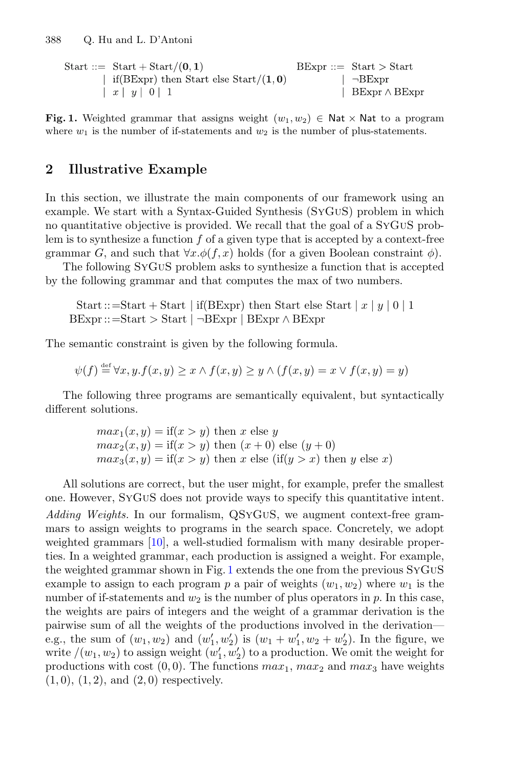<span id="page-2-0"></span> $BExpr ::= Start > Start$ Start ::=  $Start + Start/(0, 1)$ | if(BExpr) then Start else Start/ $(1, 0)$  $\neg$ BExpr  $\vert x \vert y \vert 0 \vert 1$  $BExpr \wedge BExpr$ 

**Fig. 1.** Weighted grammar that assigns weight  $(w_1, w_2) \in \mathsf{Nat} \times \mathsf{Nat}$  to a program where  $w_1$  is the number of if-statements and  $w_2$  is the number of plus-statements.

# <span id="page-2-1"></span>**2 Illustrative Example**

In this section, we illustrate the main components of our framework using an example. We start with a Syntax-Guided Synthesis (SyGuS) problem in which no quantitative objective is provided. We recall that the goal of a SyGuS problem is to synthesize a function  $f$  of a given type that is accepted by a context-free grammar G, and such that  $\forall x.\phi(f,x)$  holds (for a given Boolean constraint  $\phi$ ).

The following SyGuS problem asks to synthesize a function that is accepted by the following grammar and that computes the max of two numbers.

```
Start ::=Start + Start | if(BExpr) then Start else Start | x | y | 0 | 1BExpr ::= Start > Start | \neg BExpr | BExpr \wedge BExpr
```
The semantic constraint is given by the following formula.

$$
\psi(f) \stackrel{\text{def}}{=} \forall x, y. f(x, y) \ge x \land f(x, y) \ge y \land (f(x, y) = x \lor f(x, y) = y)
$$

The following three programs are semantically equivalent, but syntactically different solutions.

$$
max_1(x, y) = \text{if}(x > y) \text{ then } x \text{ else } y
$$
\n
$$
max_2(x, y) = \text{if}(x > y) \text{ then } (x + 0) \text{ else } (y + 0)
$$
\n
$$
max_3(x, y) = \text{if}(x > y) \text{ then } x \text{ else } (\text{if}(y > x) \text{ then } y \text{ else } x)
$$

All solutions are correct, but the user might, for example, prefer the smallest one. However, SyGuS does not provide ways to specify this quantitative intent. *Adding Weights.* In our formalism, QSyGuS, we augment context-free grammars to assign weights to programs in the search space. Concretely, we adopt weighted grammars [\[10\]](#page-16-5), a well-studied formalism with many desirable properties. In a weighted grammar, each production is assigned a weight. For example, the weighted grammar shown in Fig. [1](#page-2-0) extends the one from the previous SyGuS example to assign to each program p a pair of weights  $(w_1, w_2)$  where  $w_1$  is the number of if-statements and  $w_2$  is the number of plus operators in p. In this case, the weights are pairs of integers and the weight of a grammar derivation is the pairwise sum of all the weights of the productions involved in the derivation e.g., the sum of  $(w_1, w_2)$  and  $(w'_1, w'_2)$  is  $(w_1 + w'_1, w_2 + w'_2)$ . In the figure, we write  $/(w_1, w_2)$  to assign weight  $(w'_1, w'_2)$  to a production. We omit the weight for productions with cost  $(0, 0)$ . The functions  $max_1, max_2$  and  $max_3$  have weights  $(1, 0), (1, 2), \text{ and } (2, 0)$  respectively.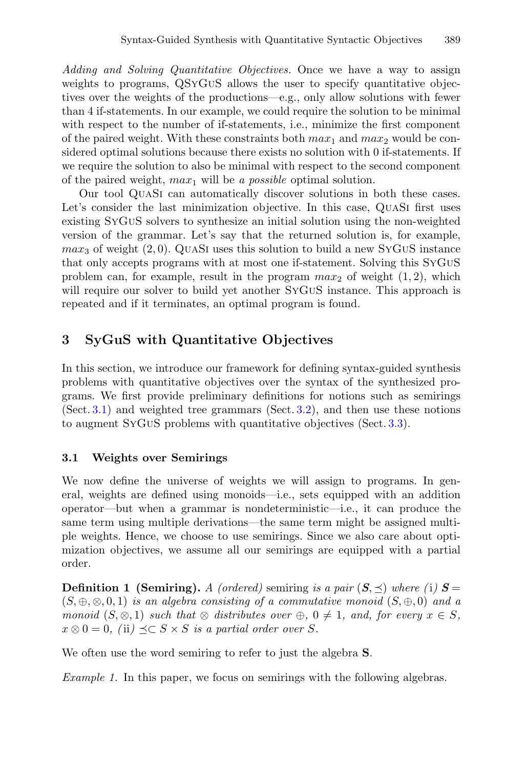*Adding and Solving Quantitative Objectives.* Once we have a way to assign weights to programs, QSYGUS allows the user to specify quantitative objectives over the weights of the productions—e.g., only allow solutions with fewer than 4 if-statements. In our example, we could require the solution to be minimal with respect to the number of if-statements, i.e., minimize the first component of the paired weight. With these constraints both  $max_1$  and  $max_2$  would be considered optimal solutions because there exists no solution with 0 if-statements. If we require the solution to also be minimal with respect to the second component of the paired weight, max<sup>1</sup> will be *a possible* optimal solution.

Our tool QuaSi can automatically discover solutions in both these cases. Let's consider the last minimization objective. In this case, QUASI first uses existing SyGuS solvers to synthesize an initial solution using the non-weighted version of the grammar. Let's say that the returned solution is, for example,  $max_3$  of weight (2,0). QUASI uses this solution to build a new SYGUS instance that only accepts programs with at most one if-statement. Solving this SyGuS problem can, for example, result in the program  $max_2$  of weight  $(1, 2)$ , which will require our solver to build yet another SYGUS instance. This approach is repeated and if it terminates, an optimal program is found.

# <span id="page-3-0"></span>**3 SyGuS with Quantitative Objectives**

In this section, we introduce our framework for defining syntax-guided synthesis problems with quantitative objectives over the syntax of the synthesized programs. We first provide preliminary definitions for notions such as semirings (Sect. [3.1\)](#page-3-1) and weighted tree grammars (Sect. [3.2\)](#page-4-0), and then use these notions to augment SyGuS problems with quantitative objectives (Sect. [3.3\)](#page-6-0).

### <span id="page-3-1"></span>**3.1 Weights over Semirings**

We now define the universe of weights we will assign to programs. In general, weights are defined using monoids—i.e., sets equipped with an addition operator—but when a grammar is nondeterministic—i.e., it can produce the same term using multiple derivations—the same term might be assigned multiple weights. Hence, we choose to use semirings. Since we also care about optimization objectives, we assume all our semirings are equipped with a partial order.

**Definition 1 (Semiring).** *A (ordered)* semiring *is a pair*  $(S, \preceq)$  *where (i)*  $S =$ (S, ⊕, ⊗, 0, 1) *is an algebra consisting of a commutative monoid* (S, ⊕, 0) *and a monoid*  $(S, \otimes, 1)$  *such that*  $\otimes$  *distributes over*  $\oplus$ ,  $0 \neq 1$ *, and, for every*  $x \in S$ *,*  $x \otimes 0 = 0$ , (ii)  $\preceq \subset S \times S$  *is a partial order over* S.

We often use the word semiring to refer to just the algebra **S**.

*Example 1.* In this paper, we focus on semirings with the following algebras.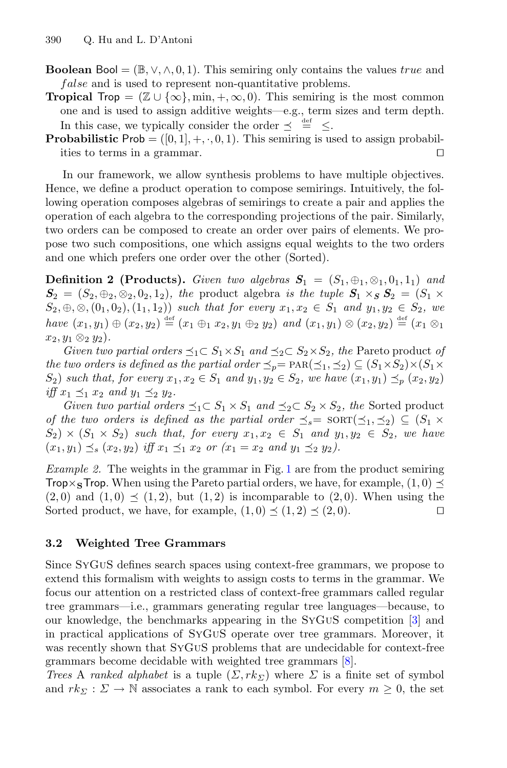**Boolean** Bool =  $(\mathbb{B}, \vee, \wedge, 0, 1)$ . This semiring only contains the values true and false and is used to represent non-quantitative problems.

**Tropical** Trop =  $(\mathbb{Z} \cup {\{\infty\}}, \min, +, \infty, 0)$ . This semiring is the most common one and is used to assign additive weights—e.g., term sizes and term depth. In this case, we typically consider the order  $\preceq \stackrel{\text{def}}{=} \preceq$ .

**Probabilistic** Prob =  $([0, 1], +, \cdot, 0, 1)$ . This semiring is used to assign probabilities to terms in a grammar. ities to terms in a grammar.

In our framework, we allow synthesis problems to have multiple objectives. Hence, we define a product operation to compose semirings. Intuitively, the following operation composes algebras of semirings to create a pair and applies the operation of each algebra to the corresponding projections of the pair. Similarly, two orders can be composed to create an order over pairs of elements. We propose two such compositions, one which assigns equal weights to the two orders and one which prefers one order over the other (Sorted).

**Definition 2 (Products).** *Given two algebras*  $S_1 = (S_1, \oplus_1, \otimes_1, 0_1, 1_1)$  *and*  $S_2 = (S_2, \oplus_2, \otimes_2, 0_2, 1_2)$ , the product algebra is the tuple  $S_1 \times_S S_2 = (S_1 \times S_2)$  $S_2, \oplus, \otimes, (0_1, 0_2), (1_1, 1_2)$  *such that for every*  $x_1, x_2 \in S_1$  *and*  $y_1, y_2 \in S_2$ *, we have*  $(x_1, y_1) \oplus (x_2, y_2) \stackrel{\text{def}}{=} (x_1 \oplus_1 x_2, y_1 \oplus_2 y_2)$  *and*  $(x_1, y_1) \otimes (x_2, y_2) \stackrel{\text{def}}{=} (x_1 \otimes_1$  $x_2, y_1 \otimes_2 y_2$ .

*Given two partial orders*  $\preceq_1 \subset S_1 \times S_1$  *and*  $\preceq_2 \subset S_2 \times S_2$ *, the* Pareto product *of the two orders is defined as the partial order*  $\preceq_n = \text{PAR}(\preceq_1, \preceq_2) \subseteq (S_1 \times S_2) \times (S_1 \times S_2)$  $S_2$ ) *such that, for every*  $x_1, x_2 \in S_1$  *and*  $y_1, y_2 \in S_2$ *, we have*  $(x_1, y_1) \preceq_p (x_2, y_2)$ *iff*  $x_1 \leq_1 x_2$  *and*  $y_1 \leq_2 y_2$ *.* 

*Given two partial orders*  $\preceq_1 \subset S_1 \times S_1$  *and*  $\preceq_2 \subset S_2 \times S_2$ *, the* Sorted product *of the two orders is defined as the partial order*  $\preceq_s = \text{SORT}(\preceq_1, \preceq_2) \subseteq (S_1 \times$  $S_2$  ×  $(S_1 \times S_2)$  *such that, for every*  $x_1, x_2 \in S_1$  *and*  $y_1, y_2 \in S_2$ *, we have*  $(x_1, y_1) \preceq_s (x_2, y_2)$  *iff*  $x_1 \preceq_1 x_2$  *or*  $(x_1 = x_2$  *and*  $y_1 \preceq_2 y_2$ *).* 

*Example 2.* The weights in the grammar in Fig. [1](#page-2-0) are from the product semiring **Trop**×**S** Trop. When using the Pareto partial orders, we have, for example,  $(1, 0) \preceq$  $(2, 0)$  and  $(1, 0) \preceq (1, 2)$ , but  $(1, 2)$  is incomparable to  $(2, 0)$ . When using the Sorted product, we have, for example,  $(1, 0) \preceq (1, 2) \preceq (2, 0)$ . Sorted product, we have, for example,  $(1, 0) \preceq (1, 2) \preceq (2, 0)$ .

### <span id="page-4-0"></span>**3.2 Weighted Tree Grammars**

Since SyGuS defines search spaces using context-free grammars, we propose to extend this formalism with weights to assign costs to terms in the grammar. We focus our attention on a restricted class of context-free grammars called regular tree grammars—i.e., grammars generating regular tree languages—because, to our knowledge, the benchmarks appearing in the SyGuS competition [\[3](#page-16-6)] and in practical applications of SyGuS operate over tree grammars. Moreover, it was recently shown that SyGuS problems that are undecidable for context-free grammars become decidable with weighted tree grammars [\[8\]](#page-16-7).

*Trees* A *ranked alphabet* is a tuple  $(\Sigma, rk_{\Sigma})$  where  $\Sigma$  is a finite set of symbol and  $rk_{\Sigma}: \Sigma \to \mathbb{N}$  associates a rank to each symbol. For every  $m \geq 0$ , the set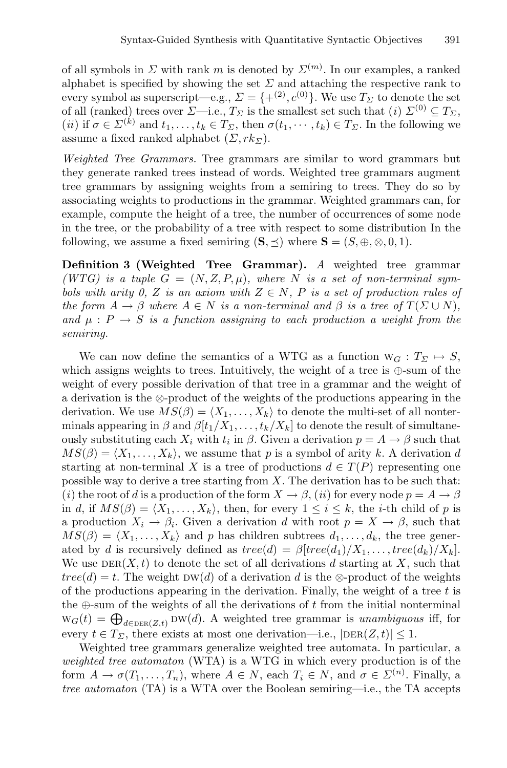of all symbols in  $\Sigma$  with rank m is denoted by  $\Sigma^{(m)}$ . In our examples, a ranked alphabet is specified by showing the set  $\Sigma$  and attaching the respective rank to every symbol as superscript—e.g.,  $\Sigma = \{+(2), c^{(0)}\}$ . We use  $T_{\Sigma}$  to denote the set of all (ranked) trees over  $\Sigma$ —i.e.,  $T_{\Sigma}$  is the smallest set such that (*i*)  $\Sigma^{(0)} \subseteq T_{\Sigma}$ , (*ii*) if  $\sigma \in \Sigma^{(k)}$  and  $t_1,\ldots,t_k \in T_\Sigma$ , then  $\sigma(t_1,\cdots,t_k) \in T_\Sigma$ . In the following we assume a fixed ranked alphabet  $(\Sigma, rk_{\Sigma})$ .

*Weighted Tree Grammars.* Tree grammars are similar to word grammars but they generate ranked trees instead of words. Weighted tree grammars augment tree grammars by assigning weights from a semiring to trees. They do so by associating weights to productions in the grammar. Weighted grammars can, for example, compute the height of a tree, the number of occurrences of some node in the tree, or the probability of a tree with respect to some distribution In the following, we assume a fixed semiring  $(S, \preceq)$  where  $S = (S, \oplus, \otimes, 0, 1)$ .

**Definition 3 (Weighted Tree Grammar).** *A* weighted tree grammar  $(WTG)$  *is a tuple*  $G = (N, Z, P, \mu)$ *, where* N *is a set of non-terminal symbols with arity 0, Z is an axiom with*  $Z \in N$ , P *is a set of production rules of the form*  $A \to \beta$  *where*  $A \in N$  *is a non-terminal and*  $\beta$  *is a tree of*  $T(\Sigma \cup N)$ *,* and  $\mu$  :  $P \rightarrow S$  *is a function assigning to each production a weight from the semiring.*

We can now define the semantics of a WTG as a function  $W_G: T_{\Sigma} \mapsto S$ , which assigns weights to trees. Intuitively, the weight of a tree is ⊕-sum of the weight of every possible derivation of that tree in a grammar and the weight of a derivation is the ⊗-product of the weights of the productions appearing in the derivation. We use  $MS(\beta) = \langle X_1, \ldots, X_k \rangle$  to denote the multi-set of all nonterminals appearing in  $\beta$  and  $\beta[t_1/X_1,\ldots,t_k/X_k]$  to denote the result of simultaneously substituting each  $X_i$  with  $t_i$  in  $\beta$ . Given a derivation  $p = A \rightarrow \beta$  such that  $MS(\beta) = \langle X_1, \ldots, X_k \rangle$ , we assume that p is a symbol of arity k. A derivation d starting at non-terminal X is a tree of productions  $d \in T(P)$  representing one possible way to derive a tree starting from  $X$ . The derivation has to be such that: (*i*) the root of d is a production of the form  $X \to \beta$ , (*ii*) for every node  $p = A \to \beta$ in d, if  $MS(\beta) = \langle X_1, \ldots, X_k \rangle$ , then, for every  $1 \leq i \leq k$ , the *i*-th child of p is a production  $X_i \to \beta_i$ . Given a derivation d with root  $p = X \to \beta$ , such that  $MS(\beta) = \langle X_1, \ldots, X_k \rangle$  and p has children subtrees  $d_1, \ldots, d_k$ , the tree generated by d is recursively defined as  $tree(d) = \beta[tree(d_1)/X_1, \ldots, tree(d_k)/X_k].$ We use  $DER(X, t)$  to denote the set of all derivations d starting at X, such that  $tree(d) = t$ . The weight DW(d) of a derivation d is the ⊗-product of the weights of the productions appearing in the derivation. Finally, the weight of a tree  $t$  is the  $\oplus$ -sum of the weights of all the derivations of t from the initial nonterminal  $w_G(t) = \bigoplus_{d \in \text{DER}(Z,t)} \text{DW}(d)$ . A weighted tree grammar is *unambiguous* iff, for every  $t \in T_{\Sigma}$ , there exists at most one derivation—i.e.,  $|\text{DER}(Z, t)| \leq 1$ .

Weighted tree grammars generalize weighted tree automata. In particular, a *weighted tree automaton* (WTA) is a WTG in which every production is of the form  $A \to \sigma(T_1, \ldots, T_n)$ , where  $A \in N$ , each  $T_i \in N$ , and  $\sigma \in \Sigma^{(n)}$ . Finally, a *tree automaton* (TA) is a WTA over the Boolean semiring—i.e., the TA accepts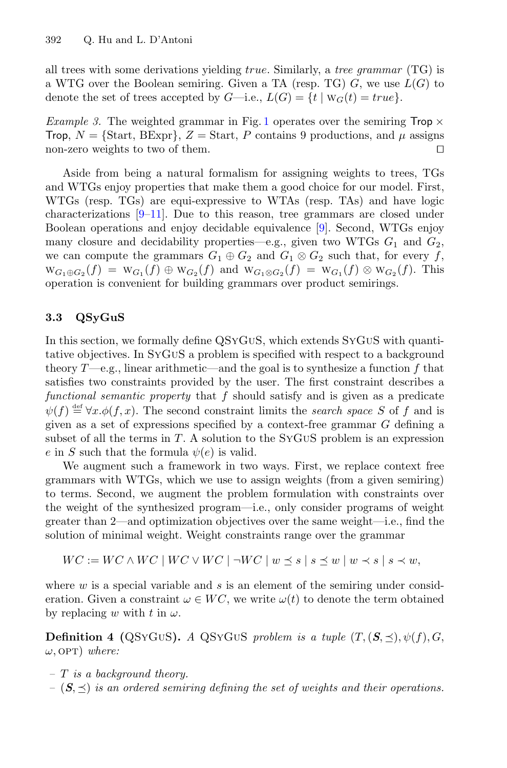all trees with some derivations yielding true. Similarly, a *tree grammar* (TG) is a WTG over the Boolean semiring. Given a TA (resp. TG)  $G$ , we use  $L(G)$  to denote the set of trees accepted by  $G$ —i.e.,  $L(G) = \{t | w_G(t) = true\}$ .

*Example 3.* The weighted grammar in Fig. [1](#page-2-0) operates over the semiring  $\mathsf{Top} \times$ Trop,  $N = \{\text{Start}, \text{BExpr}\}\$ ,  $Z = \text{Start}, P$  contains 9 productions, and  $\mu$  assigns non-zero weights to two of them. non-zero weights to two of them.

Aside from being a natural formalism for assigning weights to trees, TGs and WTGs enjoy properties that make them a good choice for our model. First, WTGs (resp. TGs) are equi-expressive to WTAs (resp. TAs) and have logic characterizations  $[9-11]$  $[9-11]$ . Due to this reason, tree grammars are closed under Boolean operations and enjoy decidable equivalence [\[9\]](#page-16-8). Second, WTGs enjoy many closure and decidability properties—e.g., given two WTGs  $G_1$  and  $G_2$ , we can compute the grammars  $G_1 \oplus G_2$  and  $G_1 \otimes G_2$  such that, for every f,  $W_{G_1 \oplus G_2}(f) = W_{G_1}(f) \oplus W_{G_2}(f)$  and  $W_{G_1 \otimes G_2}(f) = W_{G_1}(f) \otimes W_{G_2}(f)$ . This operation is convenient for building grammars over product semirings.

### <span id="page-6-0"></span>**3.3 QSyGuS**

In this section, we formally define QSYGUS, which extends SYGUS with quantitative objectives. In SyGuS a problem is specified with respect to a background theory  $T$ —e.g., linear arithmetic—and the goal is to synthesize a function f that satisfies two constraints provided by the user. The first constraint describes a *functional semantic property* that f should satisfy and is given as a predicate  $\psi(f) \stackrel{\text{def}}{=} \forall x \cdot \phi(f, x)$ . The second constraint limits the *search space* S of f and is given as a set of expressions specified by a context-free grammar G defining a subset of all the terms in  $T$ . A solution to the SYGUS problem is an expression e in S such that the formula  $\psi(e)$  is valid.

We augment such a framework in two ways. First, we replace context free grammars with WTGs, which we use to assign weights (from a given semiring) to terms. Second, we augment the problem formulation with constraints over the weight of the synthesized program—i.e., only consider programs of weight greater than 2—and optimization objectives over the same weight—i.e., find the solution of minimal weight. Weight constraints range over the grammar

$$
WC := WC \wedge WC \mid WC \vee WC \mid \neg WC \mid w \preceq s \mid s \preceq w \mid w \prec s \mid s \prec w,
$$

where  $w$  is a special variable and  $s$  is an element of the semiring under consideration. Given a constraint  $\omega \in WC$ , we write  $\omega(t)$  to denote the term obtained by replacing w with t in  $\omega$ .

**Definition 4 (QSyGuS).** *A* QSyGuS *problem is a tuple*  $(T, (\mathbf{S}, \preceq), \psi(f), G,$  $\omega$ , OPT) *where:* 

- *–* T *is a background theory.*
- $(S, \preceq)$  *is an ordered semiring defining the set of weights and their operations.*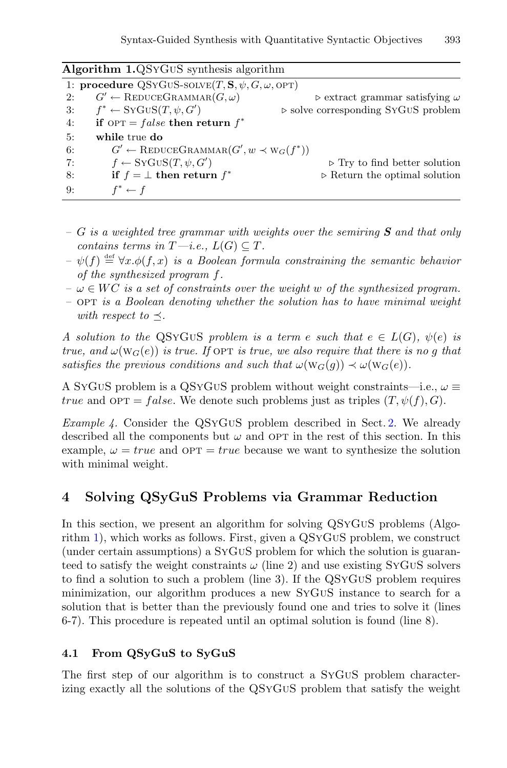<span id="page-7-1"></span>

| Algorithm LQSYGUS synthesis algorithm                           |                                                            |                                                      |  |  |  |  |  |
|-----------------------------------------------------------------|------------------------------------------------------------|------------------------------------------------------|--|--|--|--|--|
| 1: procedure QSYGUS-SOLVE $(T, S, \psi, G, \omega, \text{OPT})$ |                                                            |                                                      |  |  |  |  |  |
| 2:                                                              | $G' \leftarrow \text{REDUCEGRAMMAR}(G, \omega)$            | $\triangleright$ extract grammar satisfying $\omega$ |  |  |  |  |  |
| 3:                                                              | $f^* \leftarrow SYGUS(T, \psi, G')$                        | $\triangleright$ solve corresponding SYGUS problem   |  |  |  |  |  |
| 4:                                                              | if $OPT = false$ then return $f^*$                         |                                                      |  |  |  |  |  |
| 5:                                                              | while true do                                              |                                                      |  |  |  |  |  |
| 6:                                                              | $G' \leftarrow \text{REDUCEGRAMMAR}(G', w \prec w_G(f^*))$ |                                                      |  |  |  |  |  |
| 7:                                                              | $f \leftarrow SYGUS(T, \psi, G')$                          | $\triangleright$ Try to find better solution         |  |  |  |  |  |
| 8:                                                              | if $f = \perp$ then return $f^*$                           | $\triangleright$ Return the optimal solution         |  |  |  |  |  |
| 9:                                                              | $f^* \leftarrow f$                                         |                                                      |  |  |  |  |  |

**Algorithm 1.**QSyGuS synthesis algorithm

- *–* G *is a weighted tree grammar with weights over the semiring S and that only contains terms in*  $T-i.e., L(G) \subseteq T$ .
- $-\psi(f) \stackrel{\text{def}}{=} \forall x \cdot \phi(f, x)$  *is a Boolean formula constraining the semantic behavior of the synthesized program* f*.*
- $-\omega \in WC$  *is a set of constraints over the weight* w *of the synthesized program.*
- *–* opt *is a Boolean denoting whether the solution has to have minimal weight with respect to*  $\preceq$ .

*A* solution to the QSYGUS problem is a term e such that  $e \in L(G)$ ,  $\psi(e)$  is *true, and*  $\omega(\text{W}_G(e))$  *is true. If* OPT *is true, we also require that there is no q that satisfies the previous conditions and such that*  $\omega(\mathbf{W}_G(q)) \prec \omega(\mathbf{W}_G(e))$ *.* 

A SYGUS problem is a QSYGUS problem without weight constraints—i.e.,  $\omega \equiv$ true and  $\text{OPT} = false$ . We denote such problems just as triples  $(T, \psi(f), G)$ .

*Example 4.* Consider the QSyGuS problem described in Sect. [2.](#page-2-1) We already described all the components but  $\omega$  and OPT in the rest of this section. In this example,  $\omega = true$  and OPT = true because we want to synthesize the solution with minimal weight.

# <span id="page-7-0"></span>**4 Solving QSyGuS Problems via Grammar Reduction**

In this section, we present an algorithm for solving QSyGuS problems (Algorithm [1\)](#page-7-1), which works as follows. First, given a QSyGuS problem, we construct (under certain assumptions) a SyGuS problem for which the solution is guaranteed to satisfy the weight constraints  $\omega$  (line 2) and use existing SyGuS solvers to find a solution to such a problem (line 3). If the QSyGuS problem requires minimization, our algorithm produces a new SyGuS instance to search for a solution that is better than the previously found one and tries to solve it (lines 6-7). This procedure is repeated until an optimal solution is found (line 8).

## <span id="page-7-2"></span>**4.1 From QSyGuS to SyGuS**

The first step of our algorithm is to construct a SyGuS problem characterizing exactly all the solutions of the QSyGuS problem that satisfy the weight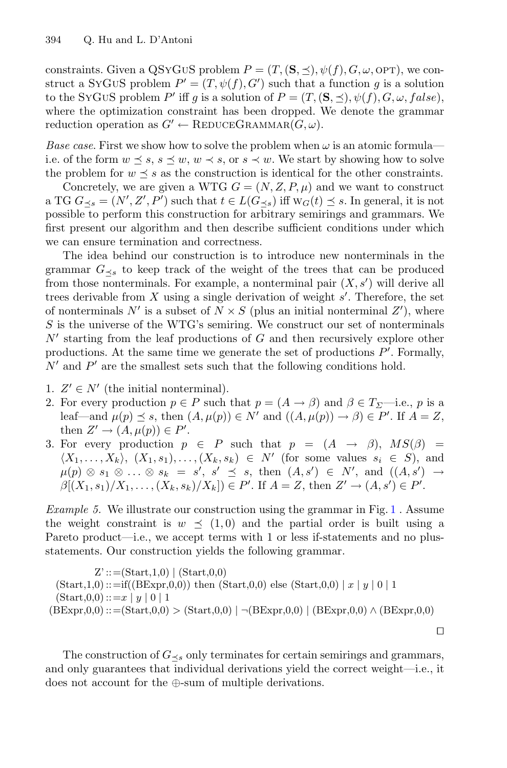constraints. Given a QSYGUS problem  $P = (T, (\mathbf{S}, \preceq), \psi(f), G, \omega, \text{OPT})$ , we construct a SYGUS problem  $P' = (T, \psi(f), G')$  such that a function g is a solution to the SYGUS problem P' iff g is a solution of  $P = (T, (\mathbf{S}, \preceq), \psi(f), G, \omega, false)$ , where the optimization constraint has been dropped. We denote the grammar reduction operation as  $G' \leftarrow \text{REDUCEGRAMMAR}(G, \omega)$ .

*Base case.* First we show how to solve the problem when  $\omega$  is an atomic formula i.e. of the form  $w \preceq s$ ,  $s \preceq w$ ,  $w \prec s$ , or  $s \prec w$ . We start by showing how to solve the problem for  $w \preceq s$  as the construction is identical for the other constraints.

Concretely, we are given a WTG  $G = (N, Z, P, \mu)$  and we want to construct a TG  $G_{\preceq s} = (N', Z', P')$  such that  $t \in L(G_{\preceq s})$  iff  $w_G(t) \preceq s$ . In general, it is not possible to perform this construction for arbitrary semirings and grammars. We first present our algorithm and then describe sufficient conditions under which we can ensure termination and correctness.

The idea behind our construction is to introduce new nonterminals in the grammar  $G_{\prec s}$  to keep track of the weight of the trees that can be produced from those nonterminals. For example, a nonterminal pair  $(X, s')$  will derive all trees derivable from X using a single derivation of weight s . Therefore, the set of nonterminals N' is a subset of  $N \times S$  (plus an initial nonterminal Z'), where S is the universe of the WTG's semiring. We construct our set of nonterminals  $N'$  starting from the leaf productions of G and then recursively explore other productions. At the same time we generate the set of productions  $P'$ . Formally,  $N'$  and  $P'$  are the smallest sets such that the following conditions hold.

- 1.  $Z' \in N'$  (the initial nonterminal).
- 2. For every production  $p \in P$  such that  $p = (A \rightarrow \beta)$  and  $\beta \in T_{\Sigma}$ —i.e., p is a leaf—and  $\mu(p) \preceq s$ , then  $(A, \mu(p)) \in N'$  and  $((A, \mu(p)) \to \beta) \in P'$ . If  $A = Z$ , then  $Z' \to (A, \mu(p)) \in P'.$
- 3. For every production  $p \in P$  such that  $p = (A \rightarrow \beta), MS(\beta) =$  $\langle X_1,\ldots,X_k\rangle$ ,  $(X_1,s_1),\ldots,(X_k,s_k) \in N'$  (for some values  $s_i \in S$ ), and  $\mu(p) \otimes s_1 \otimes \ldots \otimes s_k = s', s' \preceq s,$  then  $(A, s') \in N'$ , and  $((A, s') \rightarrow s')$  $\beta[(X_1, s_1)/X_1, \ldots, (X_k, s_k)/X_k]) \in P'.$  If  $A = Z$ , then  $Z' \to (A, s') \in P'.$

*Example 5.* We illustrate our construction using the grammar in Fig. [1](#page-2-0). Assume the weight constraint is  $w \prec (1, 0)$  and the partial order is built using a Pareto product—i.e., we accept terms with 1 or less if-statements and no plusstatements. Our construction yields the following grammar.

$$
Z' ::= (Start,1,0) | (Start,0,0)
$$
  
\n
$$
(Start,1,0) ::= if ((BExpr,0,0)) then (Start,0,0) else (Start,0,0) | x | y | 0 | 1
$$
  
\n
$$
(Start,0,0) ::= x | y | 0 | 1
$$
  
\n
$$
(BExpr,0,0) ::= (Start,0,0) > (Start,0,0) | \neg (BExpr,0,0) | (BExpr,0,0) \land (BExpr,0,0)
$$

The construction of  $G_{\leq s}$  only terminates for certain semirings and grammars, and only guarantees that individual derivations yield the correct weight—i.e., it does not account for the ⊕-sum of multiple derivations.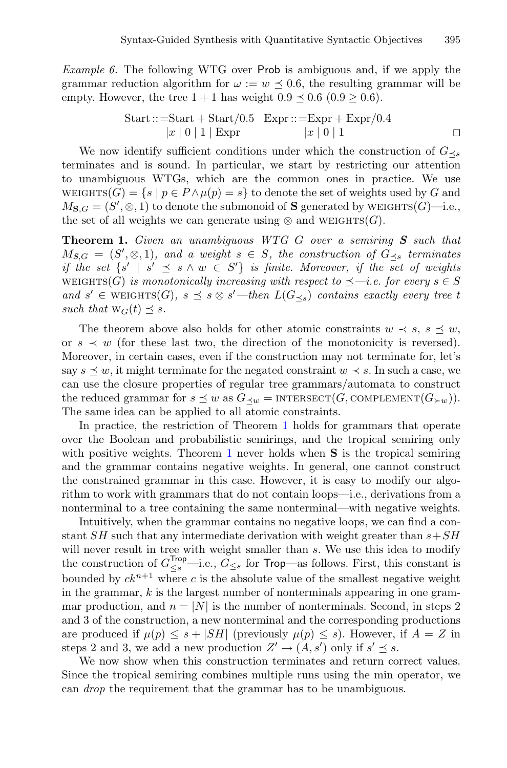*Example 6.* The following WTG over Prob is ambiguous and, if we apply the grammar reduction algorithm for  $\omega := w \prec 0.6$ , the resulting grammar will be empty. However, the tree  $1+1$  has weight  $0.9 \leq 0.6$   $(0.9 \geq 0.6)$ .

Start ::=Start + Start/0.5 
$$
Expr ::= Expr + Expr/0.4
$$

$$
|x | 0 | 1 | Expr
$$

$$
|x | 0 | 1
$$

We now identify sufficient conditions under which the construction of  $G_{\prec s}$ terminates and is sound. In particular, we start by restricting our attention to unambiguous WTGs, which are the common ones in practice. We use WEIGHTS $(G) = \{s \mid p \in P \land \mu(p) = s\}$  to denote the set of weights used by G and  $M_{\mathbf{S},G} = (S', \otimes, 1)$  to denote the submonoid of **S** generated by WEIGHTS( $G$ )—i.e., the set of all weights we can generate using  $\otimes$  and WEIGHTS(G).

<span id="page-9-0"></span>**Theorem 1.** *Given an unambiguous WTG* G *over a semiring S such that*  $M_{S,G} = (S', \otimes, 1)$ *, and a weight*  $s \in S$ *, the construction of*  $G_{\preceq s}$  *terminates if the set*  $\{s' \mid s' \leq s \land w \in S'\}$  *is finite. Moreover, if the set of weights* weights(G) *is monotonically increasing with respect to*  $\preceq$  *—i.e. for every*  $s \in S$ *and* s' ∈ WEIGHTS(G)*,* s  $\preceq$  s  $\otimes$  s'—then  $L(G_{\preceq s})$  *contains exactly every tree t such that*  $W_G(t) \preceq s$ .

The theorem above also holds for other atomic constraints  $w \prec s, s \preceq w$ , or  $s \prec w$  (for these last two, the direction of the monotonicity is reversed). Moreover, in certain cases, even if the construction may not terminate for, let's say  $s \preceq w$ , it might terminate for the negated constraint  $w \prec s$ . In such a case, we can use the closure properties of regular tree grammars/automata to construct the reduced grammar for  $s \preceq w$  as  $G_{\prec w} = \text{INTERSECT}(G, \text{COMPLEMENT}(G_{\succ w}))$ . The same idea can be applied to all atomic constraints.

In practice, the restriction of Theorem [1](#page-9-0) holds for grammars that operate over the Boolean and probabilistic semirings, and the tropical semiring only with positive weights. Theorem [1](#page-9-0) never holds when **S** is the tropical semiring and the grammar contains negative weights. In general, one cannot construct the constrained grammar in this case. However, it is easy to modify our algorithm to work with grammars that do not contain loops—i.e., derivations from a nonterminal to a tree containing the same nonterminal—with negative weights.

Intuitively, when the grammar contains no negative loops, we can find a constant  $SH$  such that any intermediate derivation with weight greater than  $s+SH$ will never result in tree with weight smaller than s. We use this idea to modify the construction of  $G_{\leq s}^{\text{Top}}$ —i.e.,  $G_{\leq s}$  for Trop—as follows. First, this constant is bounded by  $ck^{n+1}$  where c is the absolute value of the smallest negative weight in the grammar,  $k$  is the largest number of nonterminals appearing in one grammar production, and  $n = |N|$  is the number of nonterminals. Second, in steps 2 and 3 of the construction, a new nonterminal and the corresponding productions are produced if  $\mu(p) \leq s + |SH|$  (previously  $\mu(p) \leq s$ ). However, if  $A = Z$  in steps 2 and 3, we add a new production  $Z' \to (A, s')$  only if  $s' \preceq s$ .

We now show when this construction terminates and return correct values. Since the tropical semiring combines multiple runs using the min operator, we can *drop* the requirement that the grammar has to be unambiguous.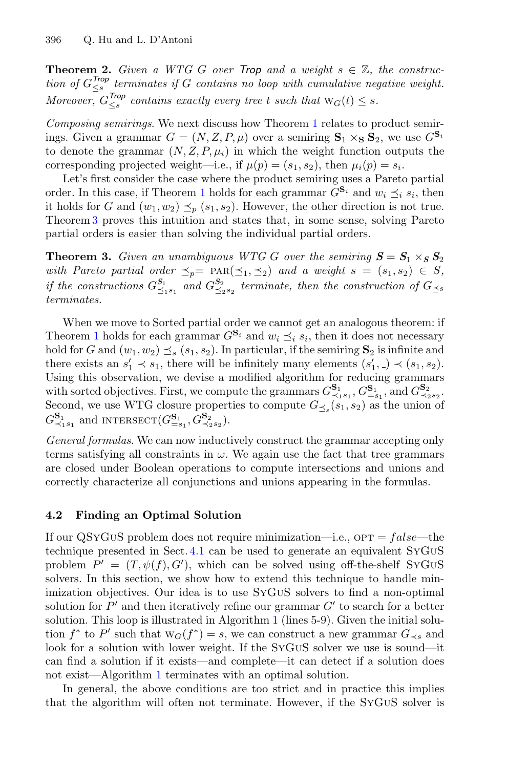**Theorem 2.** *Given a WTG G over Trop and a weight*  $s \in \mathbb{Z}$ , the construc*tion of*  $G_{\leq s}^{\text{Top}}$  *terminates if* G *contains no loop with cumulative negative weight. Moreover,*  $G_{\leq s}^{\text{Top}}$  *contains exactly every tree t such that*  $W_G(t) \leq s$ *.* 

*Composing semirings*. We next discuss how Theorem [1](#page-9-0) relates to product semirings. Given a grammar  $G = (N, Z, P, \mu)$  over a semiring  $\mathbf{S}_1 \times_{\mathbf{S}} \mathbf{S}_2$ , we use  $G^{\mathbf{S}_i}$ to denote the grammar  $(N, Z, P, \mu_i)$  in which the weight function outputs the corresponding projected weight—i.e., if  $\mu(p)=(s_1, s_2)$ , then  $\mu_i(p) = s_i$ .

Let's first consider the case where the product semiring uses a Pareto partial order. In this case, if Theorem [1](#page-9-0) holds for each grammar  $\widetilde{G}^{\mathbf{S}_i}$  and  $w_i \preceq_i s_i$ , then it holds for G and  $(w_1, w_2) \preceq_p (s_1, s_2)$ . However, the other direction is not true. Theorem [3](#page-10-0) proves this intuition and states that, in some sense, solving Pareto partial orders is easier than solving the individual partial orders.

<span id="page-10-0"></span>**Theorem 3.** *Given an unambiguous WTG G over the semiring*  $S = S_1 \times_S S_2$ *with Pareto partial order*  $\leq_p$  =  $\text{PAR}(\leq_1, \leq_2)$  *and a weight*  $s = (s_1, s_2) \in S$ , *if the constructions*  $G_{\leq_1s_1}^{S_1}$  *and*  $G_{\leq_2s_2}^{S_2}$  *terminate, then the construction of*  $G_{\leq_8}$ *terminates.*

When we move to Sorted partial order we cannot get an analogous theorem: if Theorem [1](#page-9-0) holds for each grammar  $G^{\mathbf{S}_i}$  and  $w_i \prec_i s_i$ , then it does not necessary hold for G and  $(w_1, w_2) \preceq_s (s_1, s_2)$ . In particular, if the semiring  $\mathbf{S}_2$  is infinite and there exists an  $s'_1 \prec s_1$ , there will be infinitely many elements  $(s'_1, .) \prec (s_1, s_2)$ . Using this observation, we devise a modified algorithm for reducing grammars with sorted objectives. First, we compute the grammars  $G_{\prec_1 s_1}^{S_1}, G_{=s_1}^{S_1}$ , and  $G_{\prec_2 s_2}^{S_2}$ . Second, we use WTG closure properties to compute  $G_{\prec s}(s_1, s_2)$  as the union of  $G_{\prec_1s_1}^{\mathbf{S}_1}$  and INTERSECT $(G_{=s_1}^{\mathbf{S}_1}, G_{\prec_2s_2}^{\mathbf{S}_2})$ .

*General formulas*. We can now inductively construct the grammar accepting only terms satisfying all constraints in  $\omega$ . We again use the fact that tree grammars are closed under Boolean operations to compute intersections and unions and correctly characterize all conjunctions and unions appearing in the formulas.

#### **4.2 Finding an Optimal Solution**

If our QSYGUS problem does not require minimization—i.e.,  $\text{OPT} = false$ —the technique presented in Sect. [4.1](#page-7-2) can be used to generate an equivalent SyGuS problem  $P' = (T, \psi(f), G')$ , which can be solved using off-the-shelf SYGUS solvers. In this section, we show how to extend this technique to handle minimization objectives. Our idea is to use SyGuS solvers to find a non-optimal solution for  $P'$  and then iteratively refine our grammar  $G'$  to search for a better solution. This loop is illustrated in Algorithm [1](#page-7-1) (lines 5-9). Given the initial solution  $f^*$  to P' such that  $W_G(f^*) = s$ , we can construct a new grammar  $G_{\prec s}$  and look for a solution with lower weight. If the SyGuS solver we use is sound—it can find a solution if it exists—and complete—it can detect if a solution does not exist—Algorithm [1](#page-7-1) terminates with an optimal solution.

In general, the above conditions are too strict and in practice this implies that the algorithm will often not terminate. However, if the SyGuS solver is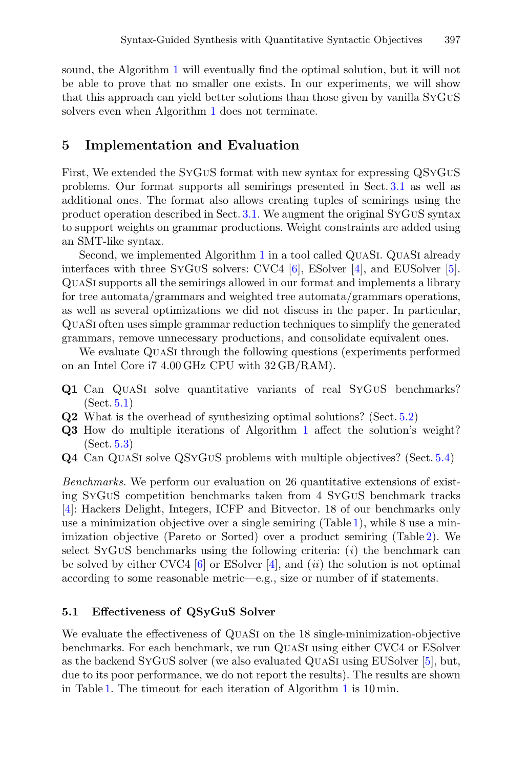sound, the Algorithm [1](#page-7-1) will eventually find the optimal solution, but it will not be able to prove that no smaller one exists. In our experiments, we will show that this approach can yield better solutions than those given by vanilla SyGuS solvers even when Algorithm [1](#page-7-1) does not terminate.

### <span id="page-11-0"></span>**5 Implementation and Evaluation**

First, We extended the SyGuS format with new syntax for expressing QSyGuS problems. Our format supports all semirings presented in Sect. [3.1](#page-3-1) as well as additional ones. The format also allows creating tuples of semirings using the product operation described in Sect. [3.1.](#page-3-1) We augment the original SyGuS syntax to support weights on grammar productions. Weight constraints are added using an SMT-like syntax.

Second, we implemented Algorithm [1](#page-7-1) in a tool called QuaSi. QuaSi already interfaces with three SyGuS solvers: CVC4 [\[6\]](#page-16-10), ESolver [\[4](#page-16-1)], and EUSolver [\[5\]](#page-16-11). QuaSi supports all the semirings allowed in our format and implements a library for tree automata/grammars and weighted tree automata/grammars operations, as well as several optimizations we did not discuss in the paper. In particular, QuaSi often uses simple grammar reduction techniques to simplify the generated grammars, remove unnecessary productions, and consolidate equivalent ones.

We evaluate QUASI through the following questions (experiments performed on an Intel Core i7 4.00 GHz CPU with 32 GB/RAM).

- **Q1** Can QUASI solve quantitative variants of real SYGUS benchmarks? (Sect. [5.1\)](#page-11-1)
- **Q2** What is the overhead of synthesizing optimal solutions? (Sect. [5.2\)](#page-13-0)
- **Q3** How do multiple iterations of Algorithm [1](#page-7-1) affect the solution's weight? (Sect. [5.3\)](#page-13-1)
- **Q4** Can QuaSi solve QSyGuS problems with multiple objectives? (Sect. [5.4\)](#page-14-0)

*Benchmarks.* We perform our evaluation on 26 quantitative extensions of existing SyGuS competition benchmarks taken from 4 SyGuS benchmark tracks [\[4](#page-16-1)]: Hackers Delight, Integers, ICFP and Bitvector. 18 of our benchmarks only use a minimization objective over a single semiring  $(Table 1)$  $(Table 1)$ , while 8 use a minimization objective (Pareto or Sorted) over a product semiring (Table [2\)](#page-14-1). We select SyGuS benchmarks using the following criteria: (*i*) the benchmark can be solved by either CVC4 [\[6](#page-16-10)] or ESolver [\[4](#page-16-1)], and (*ii*) the solution is not optimal according to some reasonable metric—e.g., size or number of if statements.

#### <span id="page-11-1"></span>**5.1 Effectiveness of QSyGuS Solver**

We evaluate the effectiveness of QuaSi on the 18 single-minimization-objective benchmarks. For each benchmark, we run QuaSi using either CVC4 or ESolver as the backend SyGuS solver (we also evaluated QuaSi using EUSolver [\[5](#page-16-11)], but, due to its poor performance, we do not report the results). The results are shown in Table [1.](#page-12-0) The timeout for each iteration of Algorithm [1](#page-7-1) is 10 min.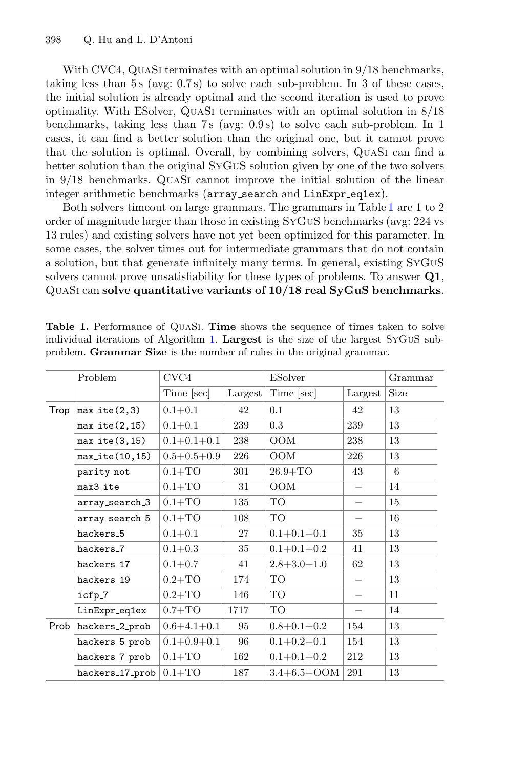With CVC4, QUASI terminates with an optimal solution in  $9/18$  benchmarks, taking less than  $5s$  (avg:  $0.7s$ ) to solve each sub-problem. In 3 of these cases, the initial solution is already optimal and the second iteration is used to prove optimality. With ESolver, QuaSi terminates with an optimal solution in 8/18 benchmarks, taking less than 7 s (avg: 0.9 s) to solve each sub-problem. In 1 cases, it can find a better solution than the original one, but it cannot prove that the solution is optimal. Overall, by combining solvers, QuaSi can find a better solution than the original SyGuS solution given by one of the two solvers in 9/18 benchmarks. QuaSi cannot improve the initial solution of the linear integer arithmetic benchmarks (array\_search and LinExpr\_eq1ex).

Both solvers timeout on large grammars. The grammars in Table [1](#page-12-0) are 1 to 2 order of magnitude larger than those in existing SyGuS benchmarks (avg: 224 vs 13 rules) and existing solvers have not yet been optimized for this parameter. In some cases, the solver times out for intermediate grammars that do not contain a solution, but that generate infinitely many terms. In general, existing SyGuS solvers cannot prove unsatisfiability for these types of problems. To answer **Q1**, QuaSi can **solve quantitative variants of 10/18 real SyGuS benchmarks**.

|      | Problem                | CVC4              |         | <b>ESolver</b>    |         | Grammar |  |
|------|------------------------|-------------------|---------|-------------------|---------|---------|--|
|      |                        | Time [sec]        | Largest | Time [sec]        | Largest | Size    |  |
| Trop | $max\_ite(2,3)$        | $0.1 + 0.1$       | 42      | 0.1               | 42      | 13      |  |
|      | $max\_ite(2, 15)$      | $0.1 + 0.1$       | 239     | 0.3               | 239     | 13      |  |
|      | $max\_ite(3, 15)$      | $0.1 + 0.1 + 0.1$ | 238     | <b>OOM</b>        | 238     | 13      |  |
|      | $max\_ite(10, 15)$     | $0.5 + 0.5 + 0.9$ | 226     | OOM               | 226     | 13      |  |
|      | parity_not             | $0.1 + TO$        | 301     | $26.9 + TO$       | 43      | 6       |  |
|      | $max3$ <sub>-ite</sub> | $0.1 + TO$        | 31      | <b>OOM</b>        |         | 14      |  |
|      | array_search_3         | $0.1 + TO$        | 135     | TO                |         | 15      |  |
|      | array_search_5         | $0.1 + TO$        | 108     | TÓ                |         | 16      |  |
|      | hackers_5              | $0.1 + 0.1$       | 27      | $0.1 + 0.1 + 0.1$ | 35      | 13      |  |
|      | hackers <sub>-7</sub>  | $0.1 + 0.3$       | 35      | $0.1 + 0.1 + 0.2$ | 41      | 13      |  |
|      | hackers 17             | $0.1 + 0.7$       | 41      | $2.8 + 3.0 + 1.0$ | 62      | 13      |  |
|      | hackers_19             | $0.2 + TO$        | 174     | TÓ                |         | 13      |  |
|      | icfp <sub>-7</sub>     | $0.2 + TO$        | 146     | TÓ                |         | 11      |  |
|      | LinExpr_eq1ex          | $0.7 + TO$        | 1717    | TÓ                |         | 14      |  |
| Prob | hackers_2_prob         | $0.6 + 4.1 + 0.1$ | 95      | $0.8 + 0.1 + 0.2$ | 154     | 13      |  |
|      | hackers_5_prob         | $0.1 + 0.9 + 0.1$ | 96      | $0.1 + 0.2 + 0.1$ | 154     | 13      |  |
|      | hackers_7_prob         | $0.1 + TO$        | 162     | $0.1 + 0.1 + 0.2$ | 212     | 13      |  |
|      | hackers_17_prob        | $0.1 + TO$        | 187     | $3.4 + 6.5 + OOM$ | 291     | 13      |  |

<span id="page-12-0"></span>**Table 1.** Performance of QuaSi. **Time** shows the sequence of times taken to solve individual iterations of Algorithm [1.](#page-7-1) **Largest** is the size of the largest SyGuS subproblem. **Grammar Size** is the number of rules in the original grammar.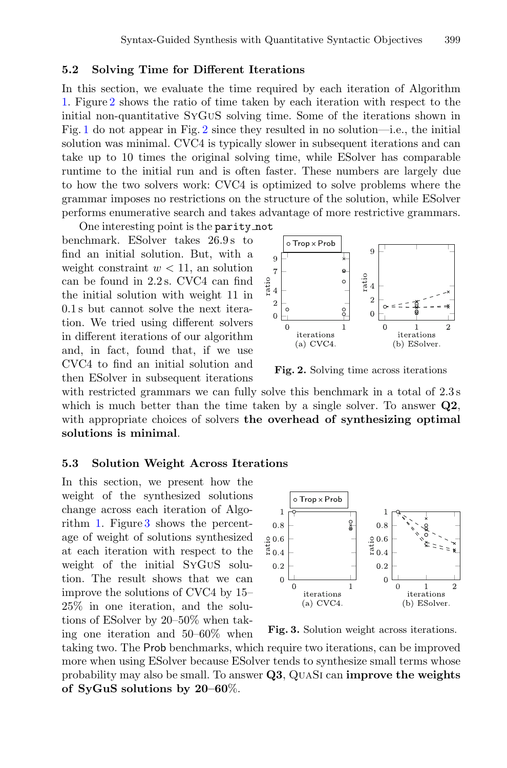#### <span id="page-13-0"></span>**5.2 Solving Time for Different Iterations**

In this section, we evaluate the time required by each iteration of Algorithm [1.](#page-7-1) Figure [2](#page-13-2) shows the ratio of time taken by each iteration with respect to the initial non-quantitative SyGuS solving time. Some of the iterations shown in Fig. [1](#page-2-0) do not appear in Fig. [2](#page-13-2) since they resulted in no solution—i.e., the initial solution was minimal. CVC4 is typically slower in subsequent iterations and can take up to 10 times the original solving time, while ESolver has comparable runtime to the initial run and is often faster. These numbers are largely due to how the two solvers work: CVC4 is optimized to solve problems where the grammar imposes no restrictions on the structure of the solution, while ESolver performs enumerative search and takes advantage of more restrictive grammars.

One interesting point is the parity not benchmark. ESolver takes 26.9 s to find an initial solution. But, with a weight constraint  $w < 11$ , an solution can be found in 2.2 s. CVC4 can find the initial solution with weight 11 in 0.1 s but cannot solve the next iteration. We tried using different solvers in different iterations of our algorithm and, in fact, found that, if we use CVC4 to find an initial solution and then ESolver in subsequent iterations



<span id="page-13-2"></span>**Fig. 2.** Solving time across iterations

with restricted grammars we can fully solve this benchmark in a total of  $2.3 s$ which is much better than the time taken by a single solver. To answer **Q2**, with appropriate choices of solvers **the overhead of synthesizing optimal solutions is minimal**.

#### <span id="page-13-1"></span>**5.3 Solution Weight Across Iterations**

In this section, we present how the weight of the synthesized solutions change across each iteration of Algorithm [1.](#page-7-1) Figure [3](#page-13-3) shows the percentage of weight of solutions synthesized at each iteration with respect to the weight of the initial SyGuS solution. The result shows that we can improve the solutions of CVC4 by 15– 25% in one iteration, and the solutions of ESolver by 20–50% when taking one iteration and 50–60% when



<span id="page-13-3"></span>**Fig. 3.** Solution weight across iterations.

taking two. The Prob benchmarks, which require two iterations, can be improved more when using ESolver because ESolver tends to synthesize small terms whose probability may also be small. To answer **Q3**, QuaSi can **improve the weights of SyGuS solutions by 20–60**%.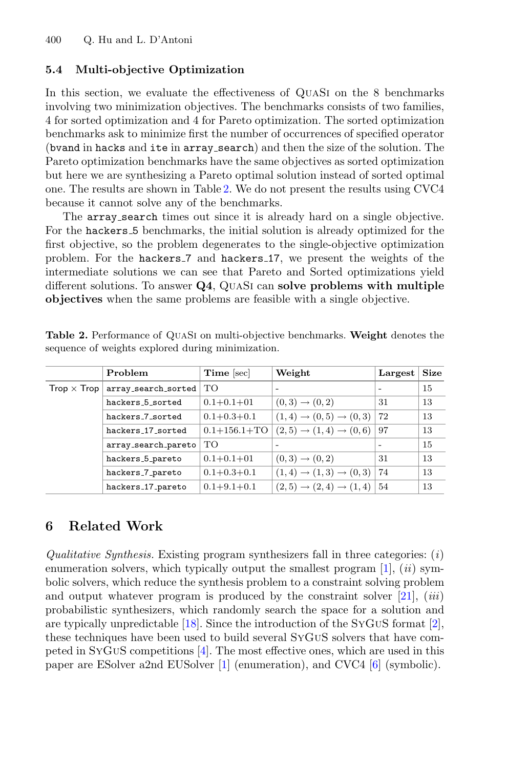#### <span id="page-14-0"></span>**5.4 Multi-objective Optimization**

In this section, we evaluate the effectiveness of QuaSi on the 8 benchmarks involving two minimization objectives. The benchmarks consists of two families, 4 for sorted optimization and 4 for Pareto optimization. The sorted optimization benchmarks ask to minimize first the number of occurrences of specified operator (bvand in hacks and ite in array search) and then the size of the solution. The Pareto optimization benchmarks have the same objectives as sorted optimization but here we are synthesizing a Pareto optimal solution instead of sorted optimal one. The results are shown in Table [2.](#page-14-1) We do not present the results using CVC4 because it cannot solve any of the benchmarks.

The array search times out since it is already hard on a single objective. For the hackers 5 benchmarks, the initial solution is already optimized for the first objective, so the problem degenerates to the single-objective optimization problem. For the hackers 7 and hackers 17, we present the weights of the intermediate solutions we can see that Pareto and Sorted optimizations yield different solutions. To answer **Q4**, QuaSi can **solve problems with multiple objectives** when the same problems are feasible with a single objective.

| Problem                                  | Time [sec]         | Weight                                      | Largest | <b>Size</b> |
|------------------------------------------|--------------------|---------------------------------------------|---------|-------------|
| $Trop \times Trop   array-search.sorted$ | TО                 | $\overline{\phantom{0}}$                    |         | 15          |
| hackers 5 sorted                         | $0.1 + 0.1 + 01$   | $(0,3) \to (0,2)$                           | 31      | 13          |
| hackers <sub>7</sub> _sorted             | $0.1 + 0.3 + 0.1$  | $(1,4) \rightarrow (0,5) \rightarrow (0,3)$ | 72      | 13          |
| hackers 17 sorted                        | $0.1 + 156.1 + TO$ | $(2,5) \rightarrow (1,4) \rightarrow (0,6)$ | 97      | 13          |
| array_search_pareto                      | <b>TO</b>          |                                             |         | 15          |
| hackers_5_pareto                         | $0.1 + 0.1 + 01$   | $(0,3) \rightarrow (0,2)$                   | 31      | 13          |
| hackers_7_pareto                         | $0.1 + 0.3 + 0.1$  | $(1,4) \rightarrow (1,3) \rightarrow (0,3)$ | 74      | 13          |
| hackers_17_pareto                        | $0.1 + 9.1 + 0.1$  | $(2,5) \rightarrow (2,4) \rightarrow (1,4)$ | 54      | 13          |

<span id="page-14-1"></span>**Table 2.** Performance of QuaSi on multi-objective benchmarks. **Weight** denotes the sequence of weights explored during minimization.

## **6 Related Work**

*Qualitative Synthesis.* Existing program synthesizers fall in three categories: (*i*) enumeration solvers, which typically output the smallest program  $[1]$  $[1]$ ,  $(ii)$  symbolic solvers, which reduce the synthesis problem to a constraint solving problem and output whatever program is produced by the constraint solver [\[21](#page-17-3)], (*iii*) probabilistic synthesizers, which randomly search the space for a solution and are typically unpredictable [\[18](#page-17-4)]. Since the introduction of the SYGUS format [\[2\]](#page-16-0), these techniques have been used to build several SyGuS solvers that have competed in SyGuS competitions [\[4\]](#page-16-1). The most effective ones, which are used in this paper are ESolver a2nd EUSolver [\[1\]](#page-16-12) (enumeration), and CVC4 [\[6\]](#page-16-10) (symbolic).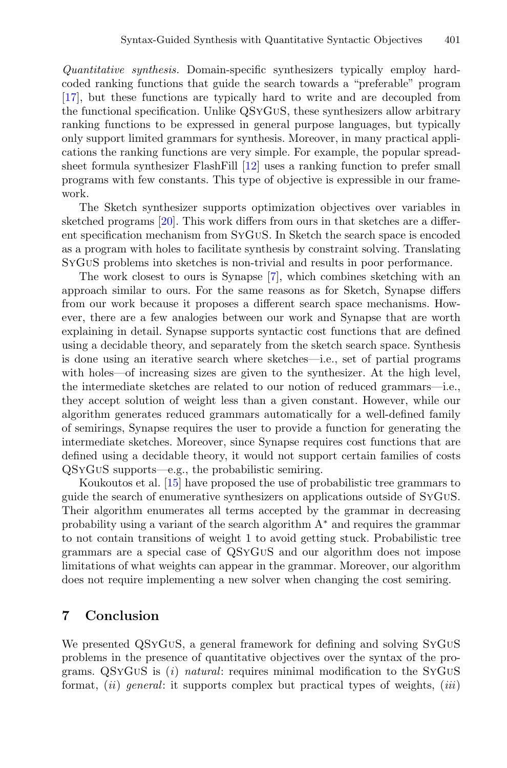*Quantitative synthesis.* Domain-specific synthesizers typically employ hardcoded ranking functions that guide the search towards a "preferable" program [\[17](#page-17-5)], but these functions are typically hard to write and are decoupled from the functional specification. Unlike QSyGuS, these synthesizers allow arbitrary ranking functions to be expressed in general purpose languages, but typically only support limited grammars for synthesis. Moreover, in many practical applications the ranking functions are very simple. For example, the popular spreadsheet formula synthesizer FlashFill [\[12\]](#page-16-13) uses a ranking function to prefer small programs with few constants. This type of objective is expressible in our framework.

The Sketch synthesizer supports optimization objectives over variables in sketched programs [\[20\]](#page-17-6). This work differs from ours in that sketches are a different specification mechanism from SyGuS. In Sketch the search space is encoded as a program with holes to facilitate synthesis by constraint solving. Translating SyGuS problems into sketches is non-trivial and results in poor performance.

The work closest to ours is Synapse [\[7](#page-16-3)], which combines sketching with an approach similar to ours. For the same reasons as for Sketch, Synapse differs from our work because it proposes a different search space mechanisms. However, there are a few analogies between our work and Synapse that are worth explaining in detail. Synapse supports syntactic cost functions that are defined using a decidable theory, and separately from the sketch search space. Synthesis is done using an iterative search where sketches—i.e., set of partial programs with holes—of increasing sizes are given to the synthesizer. At the high level, the intermediate sketches are related to our notion of reduced grammars—i.e., they accept solution of weight less than a given constant. However, while our algorithm generates reduced grammars automatically for a well-defined family of semirings, Synapse requires the user to provide a function for generating the intermediate sketches. Moreover, since Synapse requires cost functions that are defined using a decidable theory, it would not support certain families of costs QSyGuS supports—e.g., the probabilistic semiring.

Koukoutos et al. [\[15\]](#page-17-0) have proposed the use of probabilistic tree grammars to guide the search of enumerative synthesizers on applications outside of SyGuS. Their algorithm enumerates all terms accepted by the grammar in decreasing probability using a variant of the search algorithm  $A^*$  and requires the grammar to not contain transitions of weight 1 to avoid getting stuck. Probabilistic tree grammars are a special case of QSyGuS and our algorithm does not impose limitations of what weights can appear in the grammar. Moreover, our algorithm does not require implementing a new solver when changing the cost semiring.

### **7 Conclusion**

We presented QSyGuS, a general framework for defining and solving SyGuS problems in the presence of quantitative objectives over the syntax of the programs. QSyGuS is (*i*) *natural*: requires minimal modification to the SyGuS format, (*ii*) *general*: it supports complex but practical types of weights, (*iii*)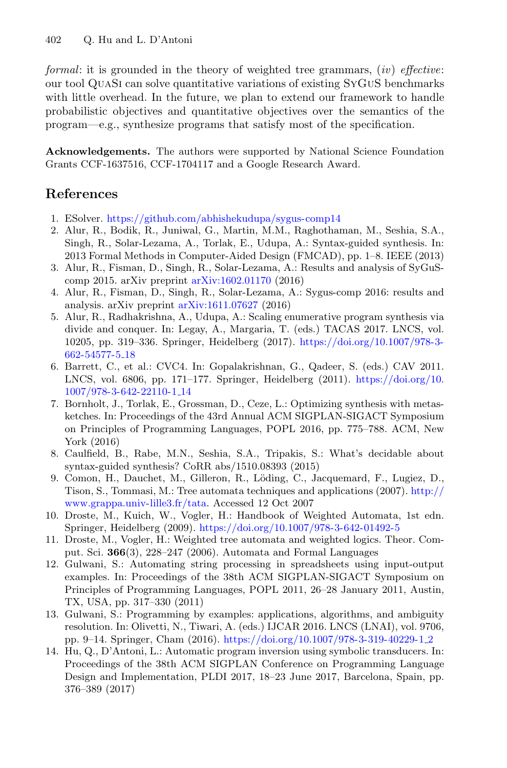*formal*: it is grounded in the theory of weighted tree grammars, (*iv*) *effective*: our tool QuaSi can solve quantitative variations of existing SyGuS benchmarks with little overhead. In the future, we plan to extend our framework to handle probabilistic objectives and quantitative objectives over the semantics of the program—e.g., synthesize programs that satisfy most of the specification.

**Acknowledgements.** The authors were supported by National Science Foundation Grants CCF-1637516, CCF-1704117 and a Google Research Award.

# **References**

- <span id="page-16-12"></span>1. ESolver. <https://github.com/abhishekudupa/sygus-comp14>
- <span id="page-16-0"></span>2. Alur, R., Bodik, R., Juniwal, G., Martin, M.M., Raghothaman, M., Seshia, S.A., Singh, R., Solar-Lezama, A., Torlak, E., Udupa, A.: Syntax-guided synthesis. In: 2013 Formal Methods in Computer-Aided Design (FMCAD), pp. 1–8. IEEE (2013)
- <span id="page-16-6"></span>3. Alur, R., Fisman, D., Singh, R., Solar-Lezama, A.: Results and analysis of SyGuScomp 2015. arXiv preprint [arXiv:1602.01170](http://arxiv.org/abs/1602.01170) (2016)
- <span id="page-16-1"></span>4. Alur, R., Fisman, D., Singh, R., Solar-Lezama, A.: Sygus-comp 2016: results and analysis. arXiv preprint [arXiv:1611.07627](http://arxiv.org/abs/1611.07627) (2016)
- <span id="page-16-11"></span>5. Alur, R., Radhakrishna, A., Udupa, A.: Scaling enumerative program synthesis via divide and conquer. In: Legay, A., Margaria, T. (eds.) TACAS 2017. LNCS, vol. 10205, pp. 319–336. Springer, Heidelberg (2017). [https://doi.org/10.1007/978-3-](https://doi.org/10.1007/978-3-662-54577-5_18) [662-54577-5](https://doi.org/10.1007/978-3-662-54577-5_18) 18
- <span id="page-16-10"></span>6. Barrett, C., et al.: CVC4. In: Gopalakrishnan, G., Qadeer, S. (eds.) CAV 2011. LNCS, vol. 6806, pp. 171–177. Springer, Heidelberg (2011). [https://doi.org/10.](https://doi.org/10.1007/978-3-642-22110-1_14) [1007/978-3-642-22110-1](https://doi.org/10.1007/978-3-642-22110-1_14) 14
- <span id="page-16-3"></span>7. Bornholt, J., Torlak, E., Grossman, D., Ceze, L.: Optimizing synthesis with metasketches. In: Proceedings of the 43rd Annual ACM SIGPLAN-SIGACT Symposium on Principles of Programming Languages, POPL 2016, pp. 775–788. ACM, New York (2016)
- <span id="page-16-7"></span>8. Caulfield, B., Rabe, M.N., Seshia, S.A., Tripakis, S.: What's decidable about syntax-guided synthesis? CoRR abs/1510.08393 (2015)
- <span id="page-16-8"></span>9. Comon, H., Dauchet, M., Gilleron, R., Löding, C., Jacquemard, F., Lugiez, D., Tison, S., Tommasi, M.: Tree automata techniques and applications (2007). [http://](http://www.grappa.univ-lille3.fr/tata) [www.grappa.univ-lille3.fr/tata.](http://www.grappa.univ-lille3.fr/tata) Accessed 12 Oct 2007
- <span id="page-16-5"></span>10. Droste, M., Kuich, W., Vogler, H.: Handbook of Weighted Automata, 1st edn. Springer, Heidelberg (2009). <https://doi.org/10.1007/978-3-642-01492-5>
- <span id="page-16-9"></span>11. Droste, M., Vogler, H.: Weighted tree automata and weighted logics. Theor. Comput. Sci. **366**(3), 228–247 (2006). Automata and Formal Languages
- <span id="page-16-13"></span>12. Gulwani, S.: Automating string processing in spreadsheets using input-output examples. In: Proceedings of the 38th ACM SIGPLAN-SIGACT Symposium on Principles of Programming Languages, POPL 2011, 26–28 January 2011, Austin, TX, USA, pp. 317–330 (2011)
- <span id="page-16-4"></span>13. Gulwani, S.: Programming by examples: applications, algorithms, and ambiguity resolution. In: Olivetti, N., Tiwari, A. (eds.) IJCAR 2016. LNCS (LNAI), vol. 9706, pp. 9–14. Springer, Cham (2016). [https://doi.org/10.1007/978-3-319-40229-1](https://doi.org/10.1007/978-3-319-40229-1_2) 2
- <span id="page-16-2"></span>14. Hu, Q., D'Antoni, L.: Automatic program inversion using symbolic transducers. In: Proceedings of the 38th ACM SIGPLAN Conference on Programming Language Design and Implementation, PLDI 2017, 18–23 June 2017, Barcelona, Spain, pp. 376–389 (2017)